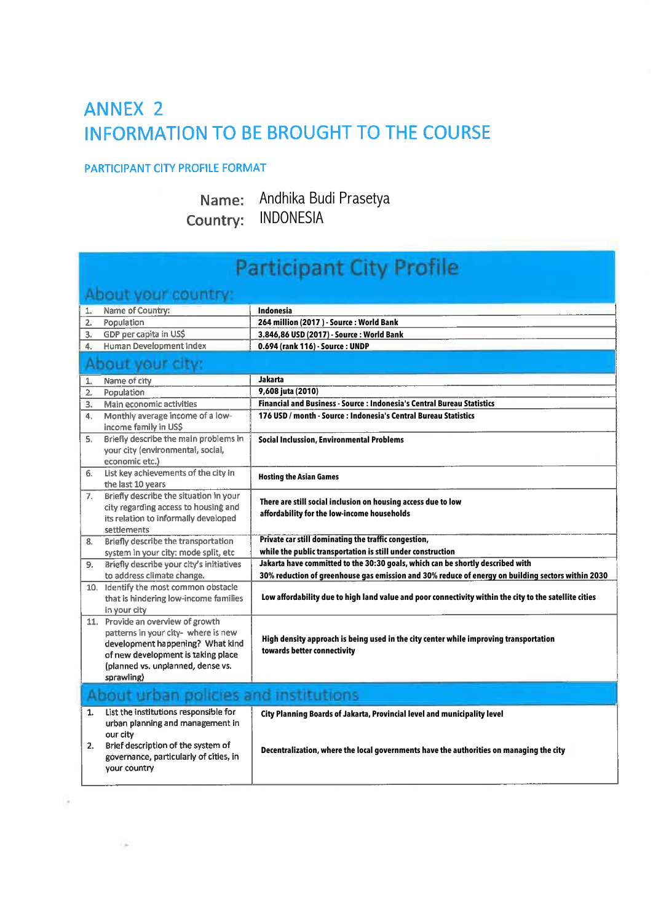## **ANNEX 2 INFORMATION TO BE BROUGHT TO THE COURSE**

## PARTICIPANT CITY PROFILE FORMAT

## Name: Andhika Budi Prasetya Country: INDONESIA

| <b>Participant City Profile</b>                                                                                                                                                                       |                                                                                                                                                                     |  |
|-------------------------------------------------------------------------------------------------------------------------------------------------------------------------------------------------------|---------------------------------------------------------------------------------------------------------------------------------------------------------------------|--|
| About your country:                                                                                                                                                                                   |                                                                                                                                                                     |  |
| Name of Country:<br>1.                                                                                                                                                                                | Indonesia                                                                                                                                                           |  |
| Population<br>2.                                                                                                                                                                                      | 264 million (2017) - Source : World Bank                                                                                                                            |  |
| GDP per capita in US\$<br>3.                                                                                                                                                                          | 3.846,86 USD (2017) - Source : World Bank                                                                                                                           |  |
| <b>Human Development Index</b><br>4.                                                                                                                                                                  | 0.694 (rank 116) - Source : UNDP                                                                                                                                    |  |
| About your city:                                                                                                                                                                                      |                                                                                                                                                                     |  |
| Name of city<br>1.                                                                                                                                                                                    | Jakarta                                                                                                                                                             |  |
| Population<br>2.                                                                                                                                                                                      | 9,608 juta (2010)                                                                                                                                                   |  |
| Main economic activities<br>3.                                                                                                                                                                        | Financial and Business - Source : Indonesia's Central Bureau Statistics                                                                                             |  |
| Monthly average income of a low-<br>4.<br>income family in US\$                                                                                                                                       | 176 USD / month - Source : Indonesia's Central Bureau Statistics                                                                                                    |  |
| Briefly describe the main problems in<br>5.<br>your city (environmental, social,<br>economic etc.)                                                                                                    | <b>Social Inclussion, Environmental Problems</b>                                                                                                                    |  |
| List key achievements of the city in<br>6.<br>the last 10 years                                                                                                                                       | <b>Hosting the Asian Games</b>                                                                                                                                      |  |
| Briefly describe the situation in your<br>7.<br>city regarding access to housing and<br>its relation to informally developed<br>settlements                                                           | There are still social inclusion on housing access due to low<br>affordability for the low-income households                                                        |  |
| <b>Briefly describe the transportation</b><br>8.                                                                                                                                                      | Private car still dominating the traffic congestion,                                                                                                                |  |
| system in your city: mode split, etc                                                                                                                                                                  | while the public transportation is still under construction                                                                                                         |  |
| Briefly describe your city's initiatives<br>9.                                                                                                                                                        | Jakarta have committed to the 30:30 goals, which can be shortly described with                                                                                      |  |
| to address climate change.                                                                                                                                                                            | 30% reduction of greenhouse gas emission and 30% reduce of energy on building sectors within 2030                                                                   |  |
| 10. Identify the most common obstacle<br>that is hindering low-income families<br>in your city                                                                                                        | Low affordability due to high land value and poor connectivity within the city to the satellite cities                                                              |  |
| 11. Provide an overview of growth<br>patterns in your city- where is new<br>development happening? What kind<br>of new development is taking place<br>(planned vs. unplanned, dense vs.<br>sprawling) | High density approach is being used in the city center while improving transportation<br>towards better connectivity                                                |  |
| About urban policies and institutions                                                                                                                                                                 |                                                                                                                                                                     |  |
| List the institutions responsible for<br>1.<br>urban planning and management in<br>our city<br>Brief description of the system of<br>2.<br>governance, particularly of cities, in<br>your country     | City Planning Boards of Jakarta, Provincial level and municipality level<br>Decentralization, where the local governments have the authorities on managing the city |  |
|                                                                                                                                                                                                       |                                                                                                                                                                     |  |